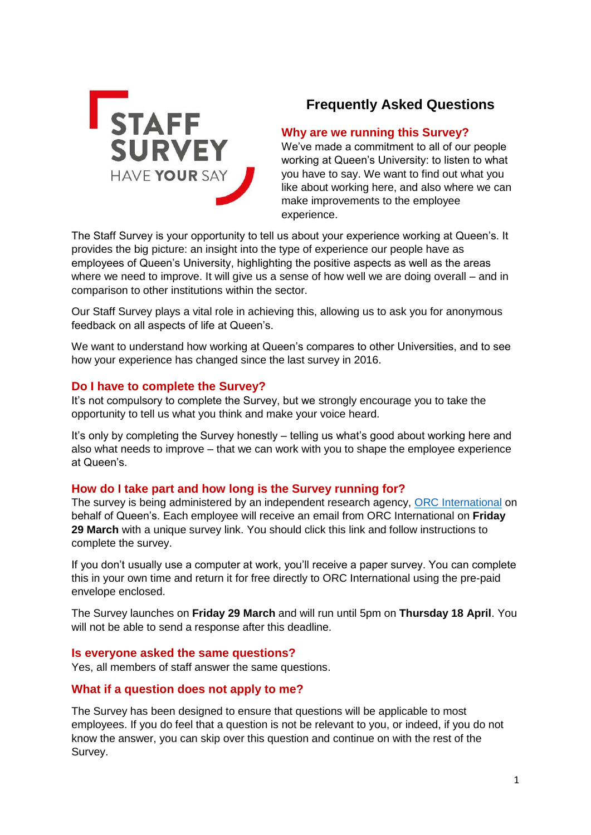

# **Frequently Asked Questions**

# **Why are we running this Survey?**

We've made a commitment to all of our people working at Queen's University: to listen to what you have to say. We want to find out what you like about working here, and also where we can make improvements to the employee experience.

The Staff Survey is your opportunity to tell us about your experience working at Queen's. It provides the big picture: an insight into the type of experience our people have as employees of Queen's University, highlighting the positive aspects as well as the areas where we need to improve. It will give us a sense of how well we are doing overall – and in comparison to other institutions within the sector.

Our Staff Survey plays a vital role in achieving this, allowing us to ask you for anonymous feedback on all aspects of life at Queen's.

We want to understand how working at Queen's compares to other Universities, and to see how your experience has changed since the last survey in 2016.

## **Do I have to complete the Survey?**

It's not compulsory to complete the Survey, but we strongly encourage you to take the opportunity to tell us what you think and make your voice heard.

It's only by completing the Survey honestly – telling us what's good about working here and also what needs to improve – that we can work with you to shape the employee experience at Queen's.

## **How do I take part and how long is the Survey running for?**

The survey is being administered by an independent research agency, [ORC International](https://orcinternational.co.uk/) on behalf of Queen's. Each employee will receive an email from ORC International on **Friday 29 March** with a unique survey link. You should click this link and follow instructions to complete the survey.

If you don't usually use a computer at work, you'll receive a paper survey. You can complete this in your own time and return it for free directly to ORC International using the pre-paid envelope enclosed.

The Survey launches on **Friday 29 March** and will run until 5pm on **Thursday 18 April**. You will not be able to send a response after this deadline.

## **Is everyone asked the same questions?**

Yes, all members of staff answer the same questions.

## **What if a question does not apply to me?**

The Survey has been designed to ensure that questions will be applicable to most employees. If you do feel that a question is not be relevant to you, or indeed, if you do not know the answer, you can skip over this question and continue on with the rest of the Survey.